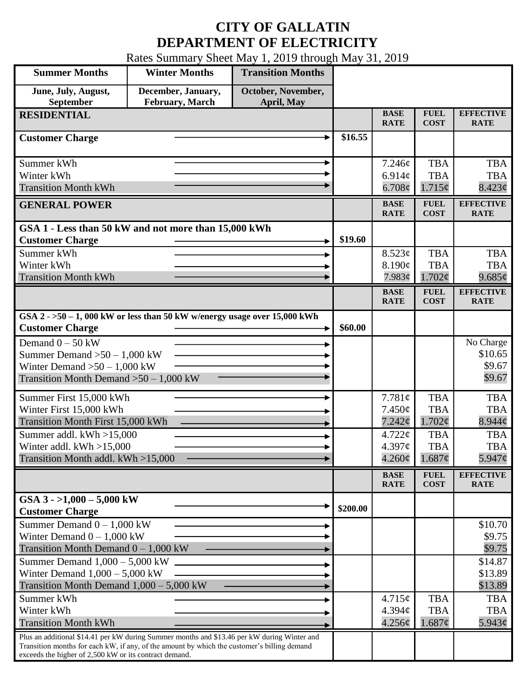## **CITY OF GALLATIN DEPARTMENT OF ELECTRICITY**

Rates Summary Sheet May 1, 2019 through May 31, 2019

| <b>Summer Months</b>                                                                                                                                                                                                                            | <b>Winter Months</b> | <b>Transition Months</b> |          |                            |                            |                                  |
|-------------------------------------------------------------------------------------------------------------------------------------------------------------------------------------------------------------------------------------------------|----------------------|--------------------------|----------|----------------------------|----------------------------|----------------------------------|
| June, July, August,                                                                                                                                                                                                                             | December, January,   | October, November,       |          |                            |                            |                                  |
| September                                                                                                                                                                                                                                       | February, March      | April, May               |          |                            |                            |                                  |
| <b>RESIDENTIAL</b>                                                                                                                                                                                                                              |                      |                          |          | <b>BASE</b><br><b>RATE</b> | <b>FUEL</b><br><b>COST</b> | <b>EFFECTIVE</b><br><b>RATE</b>  |
| <b>Customer Charge</b>                                                                                                                                                                                                                          |                      |                          | \$16.55  |                            |                            |                                  |
| Summer kWh                                                                                                                                                                                                                                      |                      |                          |          | 7.246¢                     | <b>TBA</b>                 | <b>TBA</b>                       |
| Winter kWh                                                                                                                                                                                                                                      |                      |                          |          | 6.914c                     | <b>TBA</b>                 | <b>TBA</b>                       |
| <b>Transition Month kWh</b>                                                                                                                                                                                                                     |                      |                          |          | $6.708\phi$                | $1.715\phi$                | 8.423¢                           |
| <b>GENERAL POWER</b>                                                                                                                                                                                                                            |                      |                          |          | <b>BASE</b><br><b>RATE</b> | <b>FUEL</b><br><b>COST</b> | <b>EFFECTIVE</b><br><b>RATE</b>  |
| GSA 1 - Less than 50 kW and not more than 15,000 kWh<br><b>Customer Charge</b>                                                                                                                                                                  |                      |                          | \$19.60  |                            |                            |                                  |
| Summer kWh                                                                                                                                                                                                                                      |                      |                          |          | 8.523¢                     | <b>TBA</b>                 | <b>TBA</b>                       |
| Winter kWh                                                                                                                                                                                                                                      |                      |                          |          | 8.190¢                     | <b>TBA</b>                 | <b>TBA</b>                       |
| <b>Transition Month kWh</b>                                                                                                                                                                                                                     |                      |                          |          | 7.983¢                     | 1.702¢                     | 9.685¢                           |
|                                                                                                                                                                                                                                                 |                      |                          |          | <b>BASE</b><br><b>RATE</b> | <b>FUEL</b><br><b>COST</b> | <b>EFFECTIVE</b><br><b>RATE</b>  |
| GSA $2 - 50 - 1$ , 000 kW or less than 50 kW w/energy usage over 15,000 kWh<br><b>Customer Charge</b>                                                                                                                                           |                      |                          | \$60.00  |                            |                            |                                  |
|                                                                                                                                                                                                                                                 |                      |                          |          |                            |                            |                                  |
| Demand $0 - 50$ kW                                                                                                                                                                                                                              |                      |                          |          |                            |                            | No Charge<br>\$10.65             |
| Summer Demand $>50-1,000$ kW                                                                                                                                                                                                                    |                      |                          |          |                            |                            | \$9.67                           |
| Winter Demand $>50-1,000$ kW<br>Transition Month Demand $>50-1,000$ kW                                                                                                                                                                          |                      |                          |          |                            |                            | \$9.67                           |
|                                                                                                                                                                                                                                                 |                      |                          |          |                            |                            |                                  |
| Summer First 15,000 kWh                                                                                                                                                                                                                         |                      |                          |          | 7.781¢                     | <b>TBA</b>                 | <b>TBA</b>                       |
| Winter First 15,000 kWh                                                                                                                                                                                                                         |                      |                          |          | $7.450\phi$                | <b>TBA</b>                 | <b>TBA</b>                       |
| Transition Month First 15,000 kWh<br>Summer addl. $kWh > 15,000$                                                                                                                                                                                |                      |                          |          | 7.242¢                     | 1.702¢<br><b>TBA</b>       | $8.944\mathcal{C}$<br><b>TBA</b> |
| Winter addl. $kWh > 15,000$                                                                                                                                                                                                                     |                      |                          |          | 4.722¢<br>4.397¢           | <b>TBA</b>                 | <b>TBA</b>                       |
| Transition Month addl. kWh >15,000                                                                                                                                                                                                              |                      |                          |          | $4.260\phi$                | 1.687¢                     | $5.947\phi$                      |
|                                                                                                                                                                                                                                                 |                      |                          |          |                            |                            |                                  |
|                                                                                                                                                                                                                                                 |                      |                          |          | <b>BASE</b><br><b>RATE</b> | <b>FUEL</b><br><b>COST</b> | <b>EFFECTIVE</b><br><b>RATE</b>  |
| GSA $3 - 1,000 - 5,000$ kW<br><b>Customer Charge</b>                                                                                                                                                                                            |                      |                          | \$200.00 |                            |                            |                                  |
| Summer Demand $0 - 1,000$ kW                                                                                                                                                                                                                    |                      |                          |          |                            |                            | \$10.70                          |
| Winter Demand $0 - 1,000$ kW                                                                                                                                                                                                                    |                      |                          |          |                            |                            | \$9.75                           |
| Transition Month Demand $0 - 1,000$ kW                                                                                                                                                                                                          |                      |                          |          |                            |                            | \$9.75                           |
| Summer Demand $1,000 - 5,000$ kW                                                                                                                                                                                                                |                      |                          |          |                            |                            | \$14.87                          |
| Winter Demand $1,000 - 5,000$ kW                                                                                                                                                                                                                |                      |                          |          |                            |                            | \$13.89                          |
|                                                                                                                                                                                                                                                 |                      |                          |          |                            |                            | \$13.89                          |
| Summer kWh                                                                                                                                                                                                                                      |                      |                          |          | 4.715¢                     | <b>TBA</b>                 | <b>TBA</b>                       |
|                                                                                                                                                                                                                                                 |                      |                          |          | 4.394c                     | <b>TBA</b>                 | <b>TBA</b>                       |
|                                                                                                                                                                                                                                                 |                      |                          |          |                            |                            | 5.943¢                           |
| Transition months for each kW, if any, of the amount by which the customer's billing demand                                                                                                                                                     |                      |                          |          |                            |                            |                                  |
| Transition Month Demand $1,000 - 5,000$ kW<br>Winter kWh<br><b>Transition Month kWh</b><br>Plus an additional \$14.41 per kW during Summer months and \$13.46 per kW during Winter and<br>exceeds the higher of 2,500 kW or its contract demand |                      |                          |          | 4.256¢                     | 1.687¢                     |                                  |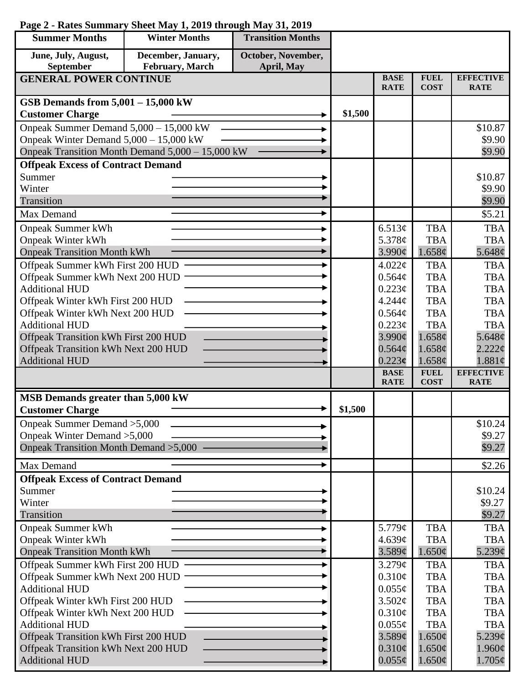## **Page 2 - Rates Summary Sheet May 1, 2019 through May 31, 2019**

| <b>Summer Months</b>                     | <b>Winter Months</b>                             | <b>Transition Months</b> |         |                            |                            |                                 |
|------------------------------------------|--------------------------------------------------|--------------------------|---------|----------------------------|----------------------------|---------------------------------|
| June, July, August,                      | December, January,                               | October, November,       |         |                            |                            |                                 |
| September                                | February, March                                  | April, May               |         |                            |                            |                                 |
| <b>GENERAL POWER CONTINUE</b>            |                                                  |                          |         | <b>BASE</b><br><b>RATE</b> | <b>FUEL</b><br><b>COST</b> | <b>EFFECTIVE</b><br><b>RATE</b> |
| GSB Demands from $5,001 - 15,000$ kW     |                                                  |                          |         |                            |                            |                                 |
| <b>Customer Charge</b>                   |                                                  |                          | \$1,500 |                            |                            |                                 |
| Onpeak Summer Demand 5,000 - 15,000 kW   |                                                  |                          |         |                            |                            | \$10.87                         |
| Onpeak Winter Demand $5,000 - 15,000$ kW |                                                  |                          |         |                            |                            | \$9.90                          |
|                                          | Onpeak Transition Month Demand 5,000 - 15,000 kW |                          |         |                            |                            | \$9.90                          |
| <b>Offpeak Excess of Contract Demand</b> |                                                  |                          |         |                            |                            |                                 |
| Summer                                   |                                                  |                          |         |                            |                            | \$10.87                         |
| Winter                                   |                                                  |                          |         |                            |                            | \$9.90                          |
| Transition                               |                                                  |                          |         |                            |                            | \$9.90                          |
| <b>Max Demand</b>                        |                                                  |                          |         |                            |                            | \$5.21                          |
| <b>Onpeak Summer kWh</b>                 |                                                  |                          |         | 6.513¢                     | <b>TBA</b>                 | <b>TBA</b>                      |
| <b>Onpeak Winter kWh</b>                 |                                                  |                          |         | 5.378¢                     | <b>TBA</b>                 | <b>TBA</b>                      |
| <b>Onpeak Transition Month kWh</b>       |                                                  |                          |         | $3.990\phi$                | 1.658¢                     | 5.648 $\phi$                    |
| Offpeak Summer kWh First 200 HUD         |                                                  |                          |         | 4.022¢                     | <b>TBA</b>                 | <b>TBA</b>                      |
| Offpeak Summer kWh Next 200 HUD          |                                                  |                          |         | $0.564\mathcal{C}$         | <b>TBA</b>                 | <b>TBA</b>                      |
| <b>Additional HUD</b>                    |                                                  |                          |         | $0.223\phi$                | <b>TBA</b>                 | <b>TBA</b>                      |
| Offpeak Winter kWh First 200 HUD         |                                                  |                          |         | 4.244c                     | <b>TBA</b>                 | <b>TBA</b>                      |
| Offpeak Winter kWh Next 200 HUD          |                                                  |                          |         | 0.564¢                     | <b>TBA</b>                 | <b>TBA</b>                      |
| <b>Additional HUD</b>                    |                                                  |                          |         | 0.223¢                     | <b>TBA</b>                 | <b>TBA</b>                      |
| Offpeak Transition kWh First 200 HUD     |                                                  |                          |         | $3.990\phi$                | 1.658¢                     | 5.648¢                          |
| Offpeak Transition kWh Next 200 HUD      |                                                  |                          |         | $0.564\phi$                | 1.658¢                     | $2.222 \mathcal{C}$             |
| <b>Additional HUD</b>                    |                                                  |                          |         | 0.223c<br><b>BASE</b>      | 1.658¢<br><b>FUEL</b>      | 1.881¢<br><b>EFFECTIVE</b>      |
|                                          |                                                  |                          |         | <b>RATE</b>                | <b>COST</b>                | <b>RATE</b>                     |
| MSB Demands greater than 5,000 kW        |                                                  |                          |         |                            |                            |                                 |
| <b>Customer Charge</b>                   |                                                  |                          | \$1,500 |                            |                            |                                 |
| Onpeak Summer Demand > 5,000             |                                                  |                          |         |                            |                            | \$10.24                         |
| Onpeak Winter Demand > 5,000             |                                                  |                          |         |                            |                            | \$9.27                          |
| Onpeak Transition Month Demand > 5,000   |                                                  |                          |         |                            |                            | \$9.27                          |
| Max Demand                               |                                                  |                          |         |                            |                            | \$2.26                          |
| <b>Offpeak Excess of Contract Demand</b> |                                                  |                          |         |                            |                            |                                 |
| Summer                                   |                                                  |                          |         |                            |                            | \$10.24                         |
| Winter                                   |                                                  |                          |         |                            |                            | \$9.27                          |
| Transition                               |                                                  |                          |         |                            |                            | \$9.27                          |
| <b>Onpeak Summer kWh</b>                 |                                                  |                          |         | 5.779¢                     | <b>TBA</b>                 | <b>TBA</b>                      |
| <b>Onpeak Winter kWh</b>                 |                                                  |                          |         | 4.639¢                     | <b>TBA</b>                 | <b>TBA</b>                      |
| <b>Onpeak Transition Month kWh</b>       |                                                  |                          |         | 3.589¢                     | 1.650¢                     | $5.239\mathcal{C}$              |
| Offpeak Summer kWh First 200 HUD         |                                                  |                          |         | 3.279¢                     | <b>TBA</b>                 | <b>TBA</b>                      |
| Offpeak Summer kWh Next 200 HUD          |                                                  |                          |         | $0.310\phi$                | <b>TBA</b>                 | <b>TBA</b>                      |
| <b>Additional HUD</b>                    |                                                  |                          |         | $0.055\phi$                | <b>TBA</b>                 | <b>TBA</b>                      |
| Offpeak Winter kWh First 200 HUD         |                                                  |                          |         | 3.502¢                     | <b>TBA</b>                 | <b>TBA</b>                      |
| Offpeak Winter kWh Next 200 HUD          |                                                  |                          |         | 0.310¢                     | <b>TBA</b>                 | <b>TBA</b>                      |
| <b>Additional HUD</b>                    |                                                  |                          |         | $0.055\phi$                | <b>TBA</b>                 | <b>TBA</b>                      |
| Offpeak Transition kWh First 200 HUD     |                                                  |                          |         | 3.589¢                     | 1.650¢                     | 5.239¢                          |
| Offpeak Transition kWh Next 200 HUD      |                                                  |                          |         | $0.310\phi$                | 1.650¢                     | 1.960¢                          |
| <b>Additional HUD</b>                    |                                                  |                          |         | $0.055\phi$                | 1.650¢                     | $1.705\phi$                     |